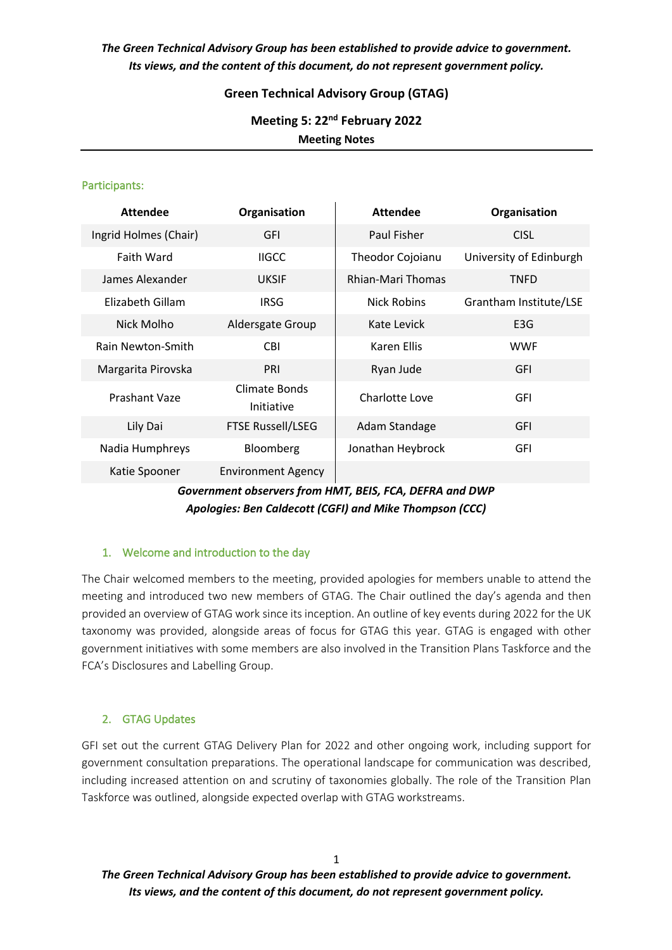*The Green Technical Advisory Group has been established to provide advice to government. Its views, and the content of this document, do not represent government policy.*

### **Green Technical Advisory Group (GTAG)**

**Meeting 5: 22nd February 2022 Meeting Notes**

#### Participants:

| <b>Attendee</b>       | Organisation                | <b>Attendee</b>          | Organisation            |
|-----------------------|-----------------------------|--------------------------|-------------------------|
| Ingrid Holmes (Chair) | <b>GFI</b>                  | Paul Fisher              | <b>CISL</b>             |
| <b>Faith Ward</b>     | <b>IIGCC</b>                | Theodor Cojoianu         | University of Edinburgh |
| James Alexander       | <b>UKSIF</b>                | <b>Rhian-Mari Thomas</b> | <b>TNFD</b>             |
| Elizabeth Gillam      | <b>IRSG</b>                 | <b>Nick Robins</b>       | Grantham Institute/LSE  |
| Nick Molho            | Aldersgate Group            | Kate Levick              | E <sub>3</sub> G        |
| Rain Newton-Smith     | <b>CBI</b>                  | <b>Karen Ellis</b>       | <b>WWF</b>              |
| Margarita Pirovska    | PRI                         | Ryan Jude                | <b>GFI</b>              |
| Prashant Vaze         | Climate Bonds<br>Initiative | Charlotte Love           | GFI                     |
| Lily Dai              | <b>FTSE Russell/LSEG</b>    | Adam Standage            | <b>GFI</b>              |
| Nadia Humphreys       | Bloomberg                   | Jonathan Heybrock        | <b>GFI</b>              |
| Katie Spooner         | <b>Environment Agency</b>   |                          |                         |

## *Government observers from HMT, BEIS, FCA, DEFRA and DWP Apologies: Ben Caldecott (CGFI) and Mike Thompson (CCC)*

### 1. Welcome and introduction to the day

The Chair welcomed members to the meeting, provided apologies for members unable to attend the meeting and introduced two new members of GTAG. The Chair outlined the day's agenda and then provided an overview of GTAG work since its inception. An outline of key events during 2022 for the UK taxonomy was provided, alongside areas of focus for GTAG this year. GTAG is engaged with other government initiatives with some members are also involved in the Transition Plans Taskforce and the FCA's Disclosures and Labelling Group.

### 2. GTAG Updates

GFI set out the current GTAG Delivery Plan for 2022 and other ongoing work, including support for government consultation preparations. The operational landscape for communication was described, including increased attention on and scrutiny of taxonomies globally. The role of the Transition Plan Taskforce was outlined, alongside expected overlap with GTAG workstreams.

*The Green Technical Advisory Group has been established to provide advice to government. Its views, and the content of this document, do not represent government policy.*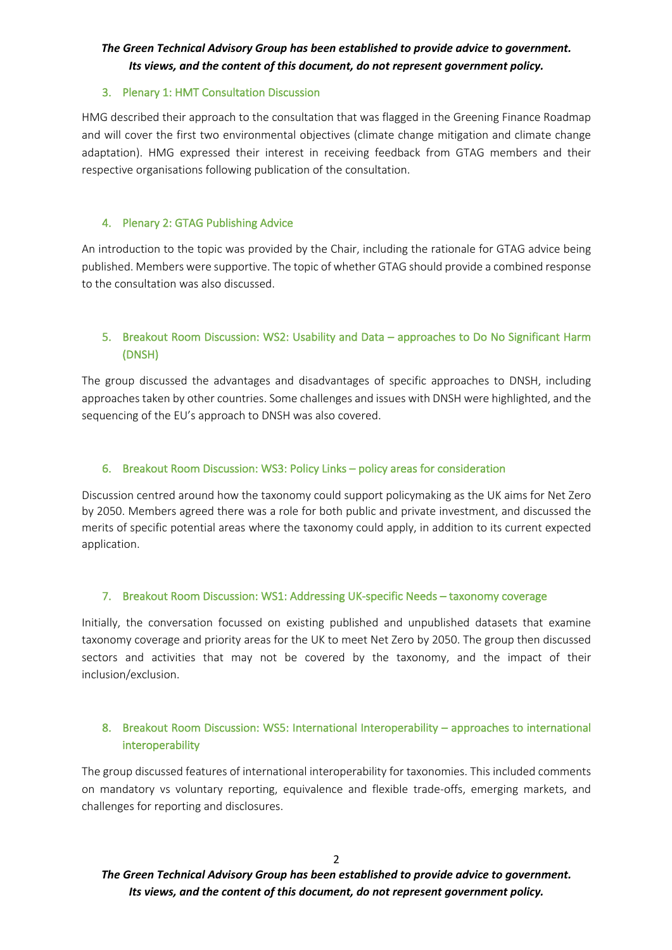# *The Green Technical Advisory Group has been established to provide advice to government. Its views, and the content of this document, do not represent government policy.*

#### 3. Plenary 1: HMT Consultation Discussion

HMG described their approach to the consultation that was flagged in the Greening Finance Roadmap and will cover the first two environmental objectives (climate change mitigation and climate change adaptation). HMG expressed their interest in receiving feedback from GTAG members and their respective organisations following publication of the consultation.

### 4. Plenary 2: GTAG Publishing Advice

An introduction to the topic was provided by the Chair, including the rationale for GTAG advice being published. Members were supportive. The topic of whether GTAG should provide a combined response to the consultation was also discussed.

## 5. Breakout Room Discussion: WS2: Usability and Data – approaches to Do No Significant Harm (DNSH)

The group discussed the advantages and disadvantages of specific approaches to DNSH, including approaches taken by other countries. Some challenges and issues with DNSH were highlighted, and the sequencing of the EU's approach to DNSH was also covered.

### 6. Breakout Room Discussion: WS3: Policy Links – policy areas for consideration

Discussion centred around how the taxonomy could support policymaking as the UK aims for Net Zero by 2050. Members agreed there was a role for both public and private investment, and discussed the merits of specific potential areas where the taxonomy could apply, in addition to its current expected application.

### 7. Breakout Room Discussion: WS1: Addressing UK-specific Needs – taxonomy coverage

Initially, the conversation focussed on existing published and unpublished datasets that examine taxonomy coverage and priority areas for the UK to meet Net Zero by 2050. The group then discussed sectors and activities that may not be covered by the taxonomy, and the impact of their inclusion/exclusion.

## 8. Breakout Room Discussion: WS5: International Interoperability – approaches to international interoperability

The group discussed features of international interoperability for taxonomies. This included comments on mandatory vs voluntary reporting, equivalence and flexible trade-offs, emerging markets, and challenges for reporting and disclosures.

*The Green Technical Advisory Group has been established to provide advice to government. Its views, and the content of this document, do not represent government policy.*